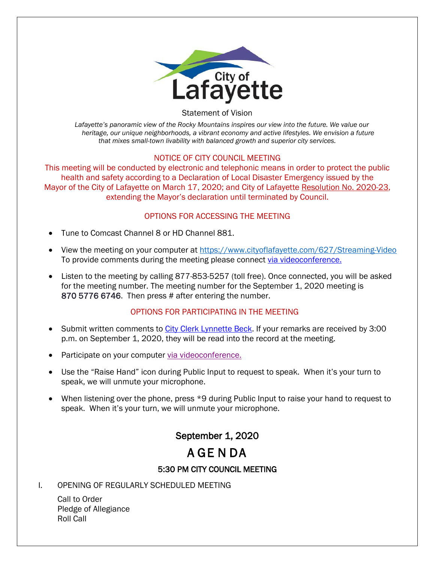

#### Statement of Vision

*Lafayette's panoramic view of the Rocky Mountains inspires our view into the future. We value our heritage, our unique neighborhoods, a vibrant economy and active lifestyles. We envision a future that mixes small-town livability with balanced growth and superior city services.*

#### NOTICE OF CITY COUNCIL MEETING

This meeting will be conducted by electronic and telephonic means in order to protect the public health and safety according to a Declaration of Local Disaster Emergency issued by the Mayor of the City of Lafayette on March 17, 2020; and City of Lafayette Resolution No. 2020-23, extending the Mayor's declaration until terminated by Council.

#### OPTIONS FOR ACCESSING THE MEETING

- Tune to Comcast Channel 8 or HD Channel 881.
- View the meeting on your computer at<https://www.cityoflafayette.com/627/Streaming-Video> To provide comments during the meeting please connect [via videoconference.](https://us02web.zoom.us/j/87057766746)
- Listen to the meeting by calling 877-853-5257 (toll free). Once connected, you will be asked for the meeting number. The meeting number for the September 1, 2020 meeting is 870 5776 6746. Then press # after entering the number.

# OPTIONS FOR PARTICIPATING IN THE MEETING

- Submit written comments to [City Clerk Lynnette Beck.](https://cityoflafayette.com/FormCenter/City-Clerk-19/Public-Input-463) If your remarks are received by 3:00 p.m. on September 1, 2020, they will be read into the record at the meeting.
- Participate on your computer [via videoconference.](https://us02web.zoom.us/j/87057766746)
- Use the "Raise Hand" icon during Public Input to request to speak. When it's your turn to speak, we will unmute your microphone.
- When listening over the phone, press \*9 during Public Input to raise your hand to request to speak. When it's your turn, we will unmute your microphone.

# September 1, 2020

# A GE N DA

# 5:30 PM CITY COUNCIL MEETING

# I. OPENING OF REGULARLY SCHEDULED MEETING

Call to Order Pledge of Allegiance Roll Call